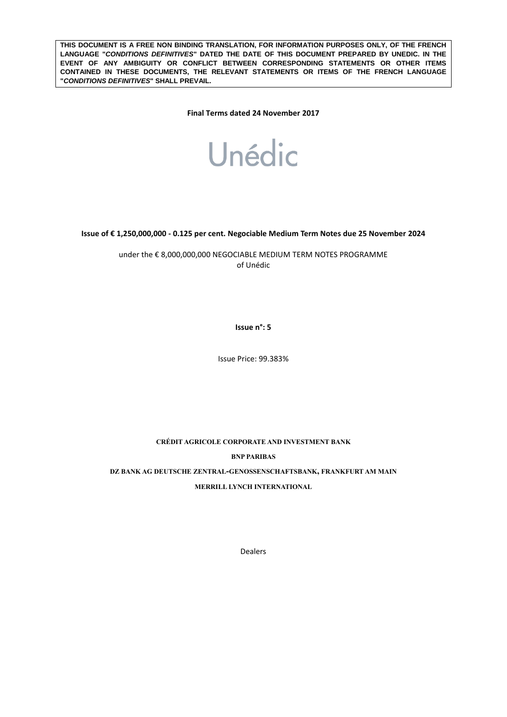**THIS DOCUMENT IS A FREE NON BINDING TRANSLATION, FOR INFORMATION PURPOSES ONLY, OF THE FRENCH LANGUAGE "***CONDITIONS DEFINITIVES***" DATED THE DATE OF THIS DOCUMENT PREPARED BY UNEDIC. IN THE EVENT OF ANY AMBIGUITY OR CONFLICT BETWEEN CORRESPONDING STATEMENTS OR OTHER ITEMS CONTAINED IN THESE DOCUMENTS, THE RELEVANT STATEMENTS OR ITEMS OF THE FRENCH LANGUAGE "***CONDITIONS DEFINITIVES***" SHALL PREVAIL.** 

**Final Terms dated 24 November 2017**



**Issue of € 1,250,000,000 - 0.125 per cent. Negociable Medium Term Notes due 25 November 2024**

under the € 8,000,000,000 NEGOCIABLE MEDIUM TERM NOTES PROGRAMME of Unédic

**Issue n°: 5**

Issue Price: 99.383%

**CRÉDIT AGRICOLE CORPORATE AND INVESTMENT BANK BNP PARIBAS DZ BANK AG DEUTSCHE ZENTRAL-GENOSSENSCHAFTSBANK, FRANKFURT AM MAIN**

**MERRILL LYNCH INTERNATIONAL**

Dealers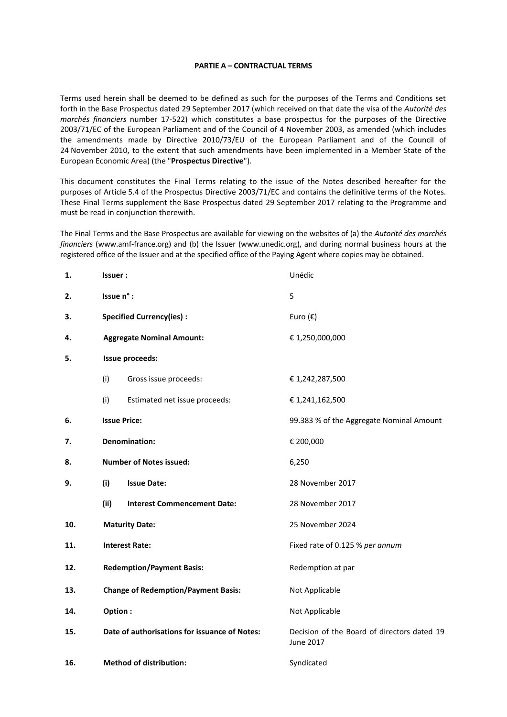#### **PARTIE A – CONTRACTUAL TERMS**

Terms used herein shall be deemed to be defined as such for the purposes of the Terms and Conditions set forth in the Base Prospectus dated 29 September 2017 (which received on that date the visa of the *Autorité des marchés financiers* number 17-522) which constitutes a base prospectus for the purposes of the Directive 2003/71/EC of the European Parliament and of the Council of 4 November 2003, as amended (which includes the amendments made by Directive 2010/73/EU of the European Parliament and of the Council of 24 November 2010, to the extent that such amendments have been implemented in a Member State of the European Economic Area) (the "**Prospectus Directive**").

This document constitutes the Final Terms relating to the issue of the Notes described hereafter for the purposes of Article 5.4 of the Prospectus Directive 2003/71/EC and contains the definitive terms of the Notes. These Final Terms supplement the Base Prospectus dated 29 September 2017 relating to the Programme and must be read in conjunction therewith.

The Final Terms and the Base Prospectus are available for viewing on the websites of (a) the *Autorité des marchés financiers* (www.amf-france.org) and (b) the Issuer (www.unedic.org), and during normal business hours at the registered office of the Issuer and at the specified office of the Paying Agent where copies may be obtained.

| 1.  | Issuer:                                       | Unédic                                                   |  |  |
|-----|-----------------------------------------------|----------------------------------------------------------|--|--|
| 2.  | Issue n° :                                    | 5                                                        |  |  |
| 3.  | <b>Specified Currency(ies):</b>               | Euro $(\epsilon)$                                        |  |  |
| 4.  | <b>Aggregate Nominal Amount:</b>              | € 1,250,000,000                                          |  |  |
| 5.  | Issue proceeds:                               |                                                          |  |  |
|     | (i)<br>Gross issue proceeds:                  | € 1,242,287,500                                          |  |  |
|     | (i)<br>Estimated net issue proceeds:          | € 1,241,162,500                                          |  |  |
| 6.  | <b>Issue Price:</b>                           | 99.383 % of the Aggregate Nominal Amount                 |  |  |
| 7.  | <b>Denomination:</b>                          | € 200,000                                                |  |  |
| 8.  | <b>Number of Notes issued:</b>                | 6,250                                                    |  |  |
| 9.  | (i)<br><b>Issue Date:</b>                     | 28 November 2017                                         |  |  |
|     | (ii)<br><b>Interest Commencement Date:</b>    | 28 November 2017                                         |  |  |
| 10. | <b>Maturity Date:</b>                         | 25 November 2024                                         |  |  |
| 11. | <b>Interest Rate:</b>                         | Fixed rate of 0.125 % per annum                          |  |  |
| 12. | <b>Redemption/Payment Basis:</b>              | Redemption at par                                        |  |  |
| 13. | <b>Change of Redemption/Payment Basis:</b>    | Not Applicable                                           |  |  |
| 14. | Option:                                       | Not Applicable                                           |  |  |
| 15. | Date of authorisations for issuance of Notes: | Decision of the Board of directors dated 19<br>June 2017 |  |  |
| 16. | <b>Method of distribution:</b>                | Syndicated                                               |  |  |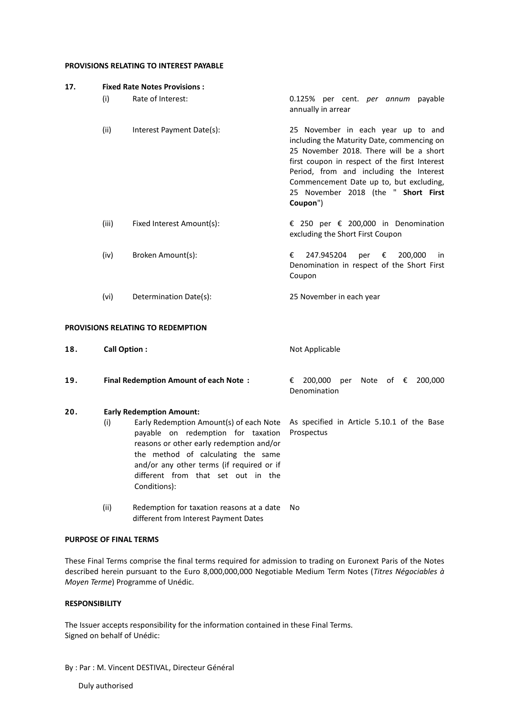## **PROVISIONS RELATING TO INTEREST PAYABLE**

| 17.                                      | <b>Fixed Rate Notes Provisions:</b> |                           |                                                                                                                                                                                                                                                                                                                       |  |  |
|------------------------------------------|-------------------------------------|---------------------------|-----------------------------------------------------------------------------------------------------------------------------------------------------------------------------------------------------------------------------------------------------------------------------------------------------------------------|--|--|
|                                          | (i)                                 | Rate of Interest:         | 0.125% per cent. <i>per annum</i> payable<br>annually in arrear                                                                                                                                                                                                                                                       |  |  |
|                                          | (ii)                                | Interest Payment Date(s): | 25 November in each year up to and<br>including the Maturity Date, commencing on<br>25 November 2018. There will be a short<br>first coupon in respect of the first Interest<br>Period, from and including the Interest<br>Commencement Date up to, but excluding,<br>25 November 2018 (the " Short First<br>Coupon") |  |  |
|                                          | (iii)                               | Fixed Interest Amount(s): | € 250 per € 200,000 in Denomination<br>excluding the Short First Coupon                                                                                                                                                                                                                                               |  |  |
|                                          | (iv)                                | Broken Amount(s):         | 247.945204<br>€<br>200,000<br>per $\epsilon$<br>in.<br>Denomination in respect of the Short First<br>Coupon                                                                                                                                                                                                           |  |  |
|                                          | (vi)                                | Determination Date(s):    | 25 November in each year                                                                                                                                                                                                                                                                                              |  |  |
| <b>PROVISIONS RELATING TO REDEMPTION</b> |                                     |                           |                                                                                                                                                                                                                                                                                                                       |  |  |
| 18.                                      | <b>Call Option:</b>                 |                           | Not Applicable                                                                                                                                                                                                                                                                                                        |  |  |

| 19. | <b>Final Redemption Amount of each Note:</b> |              | € 200,000 per Note of € 200,000 |  |  |  |  |  |
|-----|----------------------------------------------|--------------|---------------------------------|--|--|--|--|--|
|     |                                              | Denomination |                                 |  |  |  |  |  |

# **20. Early Redemption Amount:**

- (i) Early Redemption Amount(s) of each Note As specified in Article 5.10.1 of the Base payable on redemption for taxation reasons or other early redemption and/or the method of calculating the same and/or any other terms (if required or if different from that set out in the Conditions): Prospectus
- (ii) Redemption for taxation reasons at a date No different from Interest Payment Dates

#### **PURPOSE OF FINAL TERMS**

These Final Terms comprise the final terms required for admission to trading on Euronext Paris of the Notes described herein pursuant to the Euro 8,000,000,000 Negotiable Medium Term Notes (*Titres Négociables à Moyen Terme*) Programme of Unédic.

# **RESPONSIBILITY**

The Issuer accepts responsibility for the information contained in these Final Terms. Signed on behalf of Unédic:

By : Par : M. Vincent DESTIVAL, Directeur Général

Duly authorised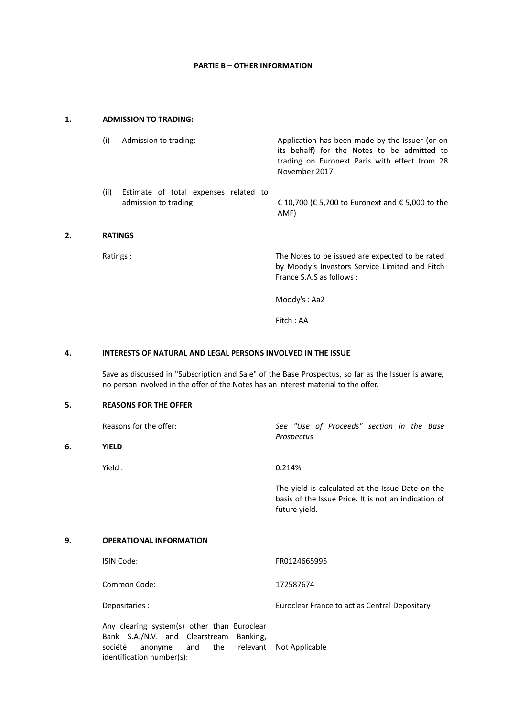# **PARTIE B – OTHER INFORMATION**

# **1. ADMISSION TO TRADING:**

**2. RATINGS**

**6.** 

| (i)            | Admission to trading:                                          | Application has been made by the Issuer (or on<br>its behalf) for the Notes to be admitted to<br>trading on Euronext Paris with effect from 28<br>November 2017. |
|----------------|----------------------------------------------------------------|------------------------------------------------------------------------------------------------------------------------------------------------------------------|
| (ii)           | Estimate of total expenses related to<br>admission to trading: | € 10,700 (€ 5,700 to Euronext and € 5,000 to the<br>AMF)                                                                                                         |
| <b>RATINGS</b> |                                                                |                                                                                                                                                                  |
| Ratings:       |                                                                | The Notes to be issued are expected to be rated                                                                                                                  |

by Moody's Investors Service Limited and Fitch France S.A.S as follows :

Moody's : Aa2

Fitch : AA

## **4. INTERESTS OF NATURAL AND LEGAL PERSONS INVOLVED IN THE ISSUE**

Save as discussed in "Subscription and Sale" of the Base Prospectus, so far as the Issuer is aware, no person involved in the offer of the Notes has an interest material to the offer.

## **5. REASONS FOR THE OFFER**

| Reasons for the offer: | See "Use of Proceeds" section in the Base<br>Prospectus                                                                   |
|------------------------|---------------------------------------------------------------------------------------------------------------------------|
| <b>YIELD</b>           |                                                                                                                           |
| Yield :                | 0.214%                                                                                                                    |
|                        | The yield is calculated at the Issue Date on the<br>basis of the Issue Price. It is not an indication of<br>future yield. |

#### **9. OPERATIONAL INFORMATION**

| ISIN Code:     | FR0124665995                                  |
|----------------|-----------------------------------------------|
| Common Code:   | 172587674                                     |
| Depositaries : | Euroclear France to act as Central Depositary |

Any clearing system(s) other than Euroclear Bank S.A./N.V. and Clearstream Banking, société anonyme and the relevant Not Applicableidentification number(s):